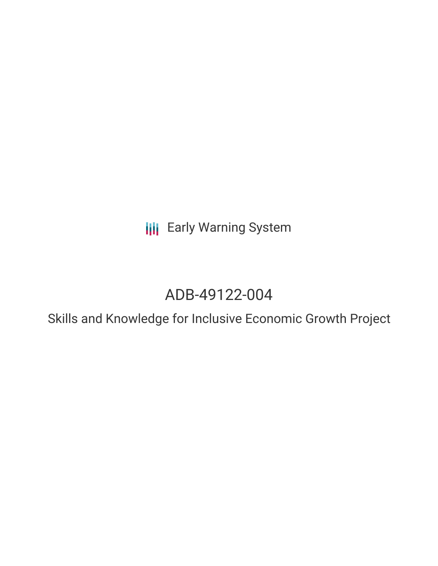**III** Early Warning System

# ADB-49122-004

Skills and Knowledge for Inclusive Economic Growth Project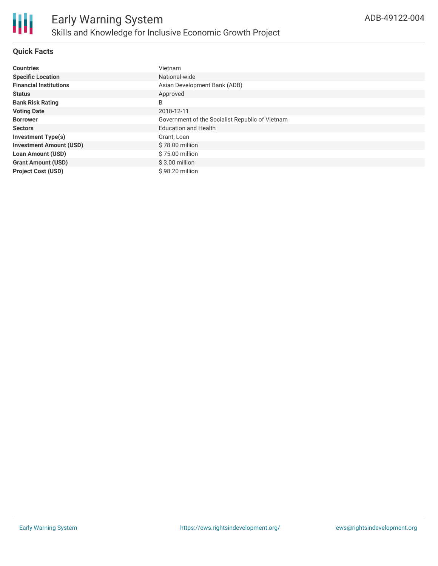

# **Quick Facts**

| <b>Countries</b>               | Vietnam                                         |
|--------------------------------|-------------------------------------------------|
| <b>Specific Location</b>       | National-wide                                   |
| <b>Financial Institutions</b>  | Asian Development Bank (ADB)                    |
| <b>Status</b>                  | Approved                                        |
| <b>Bank Risk Rating</b>        | B                                               |
| <b>Voting Date</b>             | 2018-12-11                                      |
| <b>Borrower</b>                | Government of the Socialist Republic of Vietnam |
| <b>Sectors</b>                 | <b>Education and Health</b>                     |
| <b>Investment Type(s)</b>      | Grant, Loan                                     |
| <b>Investment Amount (USD)</b> | \$78.00 million                                 |
| <b>Loan Amount (USD)</b>       | \$75.00 million                                 |
| <b>Grant Amount (USD)</b>      | $$3.00$ million                                 |
| <b>Project Cost (USD)</b>      | \$98.20 million                                 |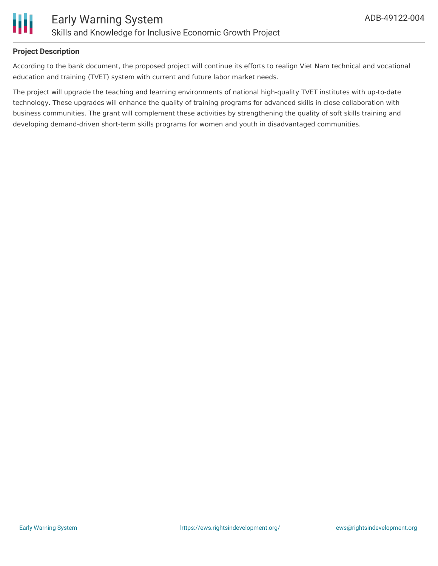

# **Project Description**

According to the bank document, the proposed project will continue its efforts to realign Viet Nam technical and vocational education and training (TVET) system with current and future labor market needs.

The project will upgrade the teaching and learning environments of national high-quality TVET institutes with up-to-date technology. These upgrades will enhance the quality of training programs for advanced skills in close collaboration with business communities. The grant will complement these activities by strengthening the quality of soft skills training and developing demand-driven short-term skills programs for women and youth in disadvantaged communities.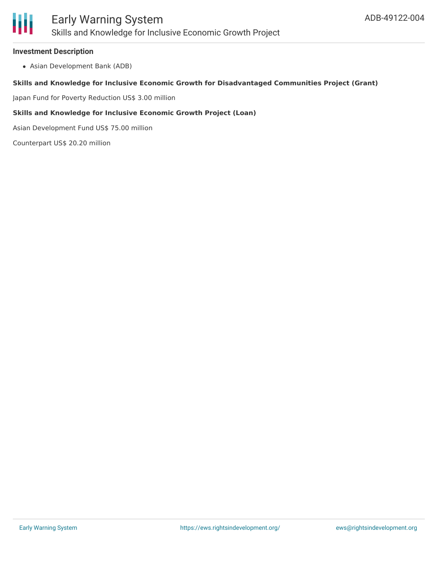#### **Investment Description**

Asian Development Bank (ADB)

#### **Skills and Knowledge for Inclusive Economic Growth for Disadvantaged Communities Project (Grant)**

Japan Fund for Poverty Reduction US\$ 3.00 million

#### **Skills and Knowledge for Inclusive Economic Growth Project (Loan)**

Asian Development Fund US\$ 75.00 million

Counterpart US\$ 20.20 million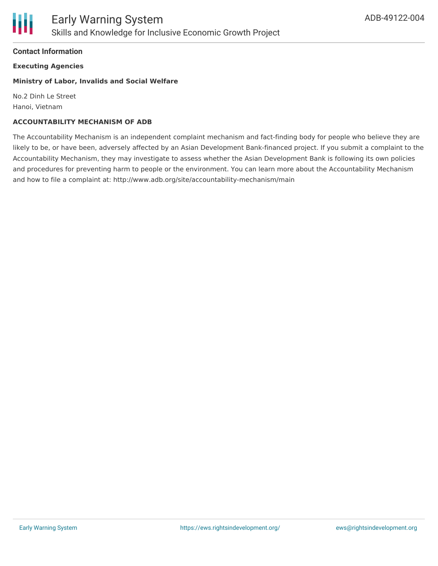### **Contact Information**

**Executing Agencies**

#### **Ministry of Labor, Invalids and Social Welfare**

No.2 Dinh Le Street Hanoi, Vietnam

#### **ACCOUNTABILITY MECHANISM OF ADB**

The Accountability Mechanism is an independent complaint mechanism and fact-finding body for people who believe they are likely to be, or have been, adversely affected by an Asian Development Bank-financed project. If you submit a complaint to the Accountability Mechanism, they may investigate to assess whether the Asian Development Bank is following its own policies and procedures for preventing harm to people or the environment. You can learn more about the Accountability Mechanism and how to file a complaint at: http://www.adb.org/site/accountability-mechanism/main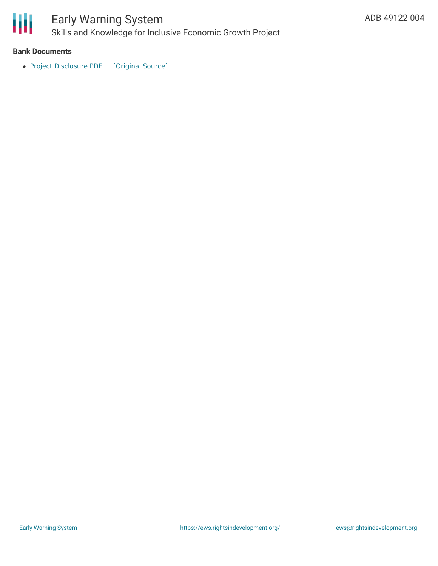

# Early Warning System Skills and Knowledge for Inclusive Economic Growth Project

#### **Bank Documents**

• Project [Disclosure](https://ewsdata.rightsindevelopment.org/files/documents/04/ADB-49122-004.pdf) PDF [\[Original](https://www.adb.org/printpdf/projects/49122-004/main) Source]